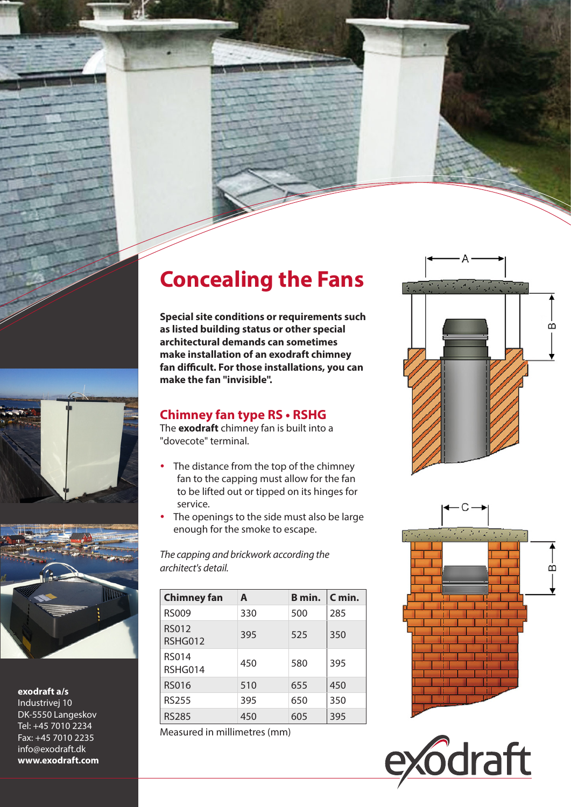## **Concealing the Fans**

**Special site conditions or requirements such as listed building status or other special architectural demands can sometimes make installation of an exodraft chimney fan difficult. For those installations, you can make the fan "invisible".**

## **Chimney fan type RS • RSHG**

The **exodraft** chimney fan is built into a "dovecote" terminal.

- The distance from the top of the chimney fan to the capping must allow for the fan to be lifted out or tipped on its hinges for service.
- The openings to the side must also be large enough for the smoke to escape.

*The capping and brickwork according the architect's detail.*

| <b>Chimney fan</b>      | A   | B min. | $C$ min. |
|-------------------------|-----|--------|----------|
| <b>RS009</b>            | 330 | 500    | 285      |
| <b>RS012</b><br>RSHG012 | 395 | 525    | 350      |
| <b>RS014</b><br>RSHG014 | 450 | 580    | 395      |
| <b>RS016</b>            | 510 | 655    | 450      |
| <b>RS255</b>            | 395 | 650    | 350      |
| <b>RS285</b>            | 450 | 605    | 395      |

Measured in millimetres (mm)











**exodraft a/s**

Industrivej 10 DK-5550 Langeskov Tel: +45 7010 2234 Fax: +45 7010 2235 info@exodraft.dk **www.exodraft.com**